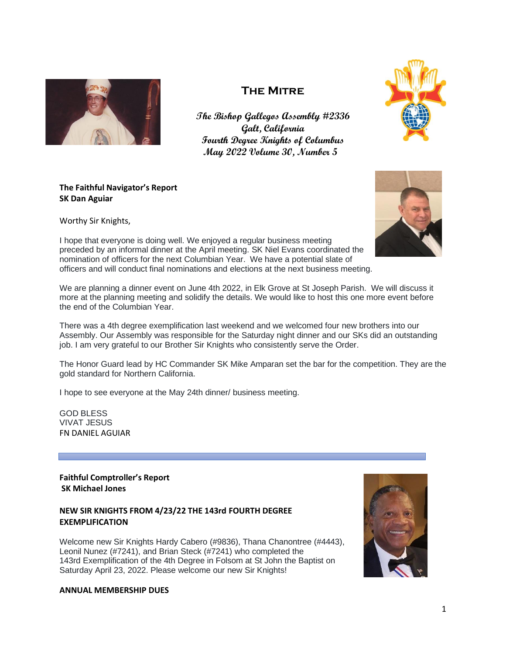

# **The Mitre**

**The Bishop Gallegos Assembly #2336 Galt, California Fourth Degree Knights of Columbus May 2022 Volume 30, Number 5**



# **The Faithful Navigator's Report SK Dan Aguiar**

Worthy Sir Knights,

I hope that everyone is doing well. We enjoyed a regular business meeting preceded by an informal dinner at the April meeting. SK Niel Evans coordinated the nomination of officers for the next Columbian Year. We have a potential slate of officers and will conduct final nominations and elections at the next business meeting.

We are planning a dinner event on June 4th 2022, in Elk Grove at St Joseph Parish. We will discuss it more at the planning meeting and solidify the details. We would like to host this one more event before the end of the Columbian Year.

There was a 4th degree exemplification last weekend and we welcomed four new brothers into our Assembly. Our Assembly was responsible for the Saturday night dinner and our SKs did an outstanding job. I am very grateful to our Brother Sir Knights who consistently serve the Order.

The Honor Guard lead by HC Commander SK Mike Amparan set the bar for the competition. They are the gold standard for Northern California.

I hope to see everyone at the May 24th dinner/ business meeting.

GOD BLESS VIVAT JESUS FN DANIEL AGUIAR

**Faithful Comptroller's Report SK Michael Jones**

# **NEW SIR KNIGHTS FROM 4/23/22 THE 143rd FOURTH DEGREE EXEMPLIFICATION**

Welcome new Sir Knights Hardy Cabero (#9836), Thana Chanontree (#4443), Leonil Nunez (#7241), and Brian Steck (#7241) who completed the 143rd Exemplification of the 4th Degree in Folsom at St John the Baptist on Saturday April 23, 2022. Please welcome our new Sir Knights!



#### **ANNUAL MEMBERSHIP DUES**

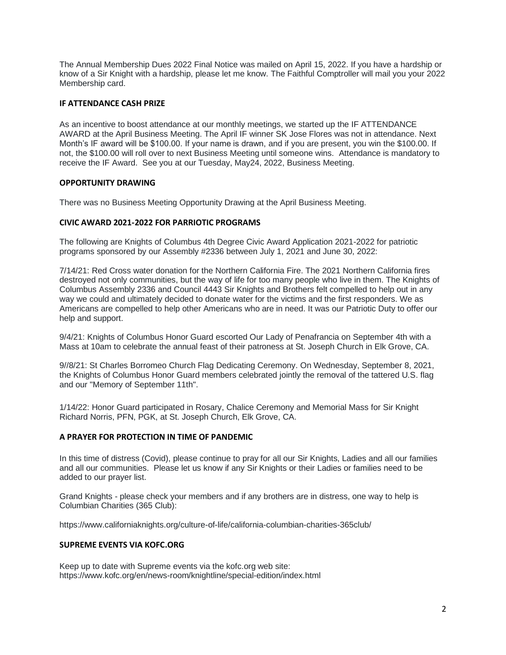The Annual Membership Dues 2022 Final Notice was mailed on April 15, 2022. If you have a hardship or know of a Sir Knight with a hardship, please let me know. The Faithful Comptroller will mail you your 2022 Membership card.

## **IF ATTENDANCE CASH PRIZE**

As an incentive to boost attendance at our monthly meetings, we started up the IF ATTENDANCE AWARD at the April Business Meeting. The April IF winner SK Jose Flores was not in attendance. Next Month's IF award will be \$100.00. If your name is drawn, and if you are present, you win the \$100.00. If not, the \$100.00 will roll over to next Business Meeting until someone wins. Attendance is mandatory to receive the IF Award. See you at our Tuesday, May24, 2022, Business Meeting.

## **OPPORTUNITY DRAWING**

There was no Business Meeting Opportunity Drawing at the April Business Meeting.

#### **CIVIC AWARD 2021-2022 FOR PARRIOTIC PROGRAMS**

The following are Knights of Columbus 4th Degree Civic Award Application 2021-2022 for patriotic programs sponsored by our Assembly #2336 between July 1, 2021 and June 30, 2022:

7/14/21: Red Cross water donation for the Northern California Fire. The 2021 Northern California fires destroyed not only communities, but the way of life for too many people who live in them. The Knights of Columbus Assembly 2336 and Council 4443 Sir Knights and Brothers felt compelled to help out in any way we could and ultimately decided to donate water for the victims and the first responders. We as Americans are compelled to help other Americans who are in need. It was our Patriotic Duty to offer our help and support.

9/4/21: Knights of Columbus Honor Guard escorted Our Lady of Penafrancia on September 4th with a Mass at 10am to celebrate the annual feast of their patroness at St. Joseph Church in Elk Grove, CA.

9//8/21: St Charles Borromeo Church Flag Dedicating Ceremony. On Wednesday, September 8, 2021, the Knights of Columbus Honor Guard members celebrated jointly the removal of the tattered U.S. flag and our "Memory of September 11th".

1/14/22: Honor Guard participated in Rosary, Chalice Ceremony and Memorial Mass for Sir Knight Richard Norris, PFN, PGK, at St. Joseph Church, Elk Grove, CA.

#### **A PRAYER FOR PROTECTION IN TIME OF PANDEMIC**

In this time of distress (Covid), please continue to pray for all our Sir Knights, Ladies and all our families and all our communities. Please let us know if any Sir Knights or their Ladies or families need to be added to our prayer list.

Grand Knights - please check your members and if any brothers are in distress, one way to help is Columbian Charities (365 Club):

<https://www.californiaknights.org/culture-of-life/california-columbian-charities-365club/>

#### **SUPREME EVENTS VIA KOFC.ORG**

Keep up to date with Supreme events via the kofc.org web site: <https://www.kofc.org/en/news-room/knightline/special-edition/index.html>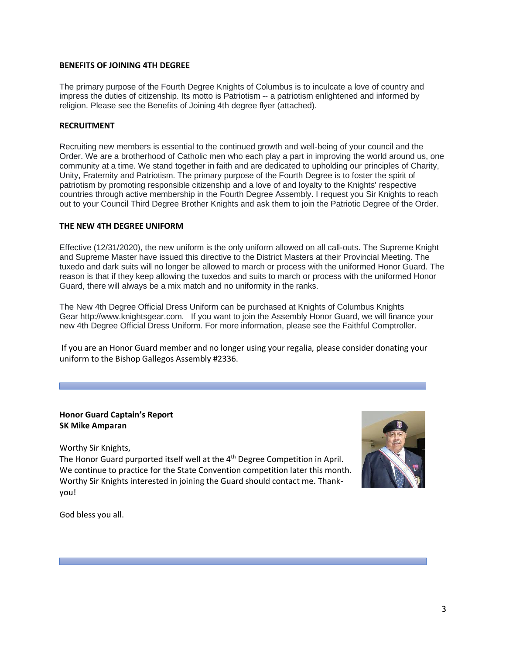## **BENEFITS OF JOINING 4TH DEGREE**

The primary purpose of the Fourth Degree Knights of Columbus is to inculcate a love of country and impress the duties of citizenship. Its motto is Patriotism -- a patriotism enlightened and informed by religion. Please see the Benefits of Joining 4th degree flyer (attached).

## **RECRUITMENT**

Recruiting new members is essential to the continued growth and well-being of your council and the Order. We are a brotherhood of Catholic men who each play a part in improving the world around us, one community at a time. We stand together in faith and are dedicated to upholding our principles of Charity, Unity, Fraternity and Patriotism. The primary purpose of the Fourth Degree is to foster the spirit of patriotism by promoting responsible citizenship and a love of and loyalty to the Knights' respective countries through active membership in the Fourth Degree Assembly. I request you Sir Knights to reach out to your Council Third Degree Brother Knights and ask them to join the Patriotic Degree of the Order.

#### **THE NEW 4TH DEGREE UNIFORM**

Effective (12/31/2020), the new uniform is the only uniform allowed on all call-outs. The Supreme Knight and Supreme Master have issued this directive to the District Masters at their Provincial Meeting. The tuxedo and dark suits will no longer be allowed to march or process with the uniformed Honor Guard. The reason is that if they keep allowing the tuxedos and suits to march or process with the uniformed Honor Guard, there will always be a mix match and no uniformity in the ranks.

The New 4th Degree Official Dress Uniform can be purchased at Knights of Columbus Knights Gear [http://www.knightsgear.com.](http://www.knightsgear.com/) If you want to join the Assembly Honor Guard, we will finance your new 4th Degree Official Dress Uniform. For more information, please see the Faithful Comptroller.

If you are an Honor Guard member and no longer using your regalia, please consider donating your uniform to the Bishop Gallegos Assembly #2336.

# **Honor Guard Captain's Report SK Mike Amparan**

Worthy Sir Knights,

The Honor Guard purported itself well at the 4<sup>th</sup> Degree Competition in April. We continue to practice for the State Convention competition later this month. Worthy Sir Knights interested in joining the Guard should contact me. Thankyou!



God bless you all.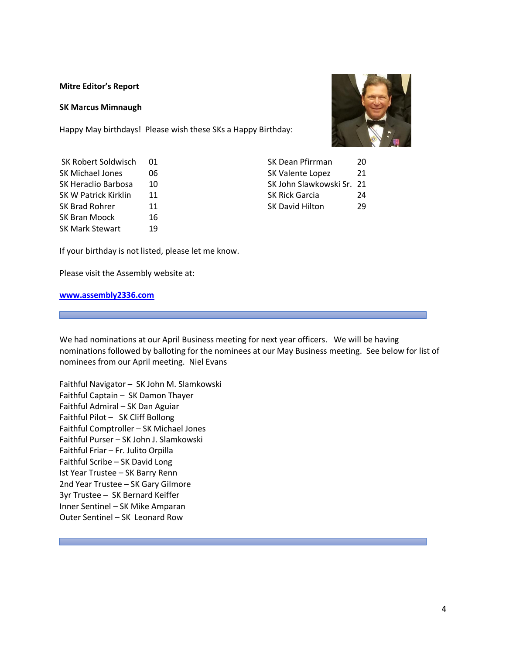#### **Mitre Editor's Report**

#### **SK Marcus Mimnaugh**

Happy May birthdays! Please wish these SKs a Happy Birthday:



| SK Robert Soldwisch  |    | SK Dean Pfirrman          | 20 |
|----------------------|----|---------------------------|----|
| SK Michael Jones     | 06 | SK Valente Lopez          | 21 |
| SK Heraclio Barbosa  | 10 | SK John Slawkowski Sr. 21 |    |
| SK W Patrick Kirklin | 11 | <b>SK Rick Garcia</b>     | 24 |
| SK Brad Rohrer       | 11 | <b>SK David Hilton</b>    | 29 |
| SK Bran Moock        | 16 |                           |    |
| SK Mark Stewart      | 19 |                           |    |

If your birthday is not listed, please let me know.

Please visit the Assembly website at:

#### **[www.assembly2336.com](http://www.assembly2336.com/)**

We had nominations at our April Business meeting for next year officers. We will be having nominations followed by balloting for the nominees at our May Business meeting. See below for list of nominees from our April meeting. Niel Evans

Faithful Navigator – SK John M. Slamkowski Faithful Captain – SK Damon Thayer Faithful Admiral – SK Dan Aguiar Faithful Pilot – SK Cliff Bollong Faithful Comptroller – SK Michael Jones Faithful Purser – SK John J. Slamkowski Faithful Friar – Fr. Julito Orpilla Faithful Scribe – SK David Long Ist Year Trustee – SK Barry Renn 2nd Year Trustee – SK Gary Gilmore 3yr Trustee – SK Bernard Keiffer Inner Sentinel – SK Mike Amparan Outer Sentinel – SK Leonard Row